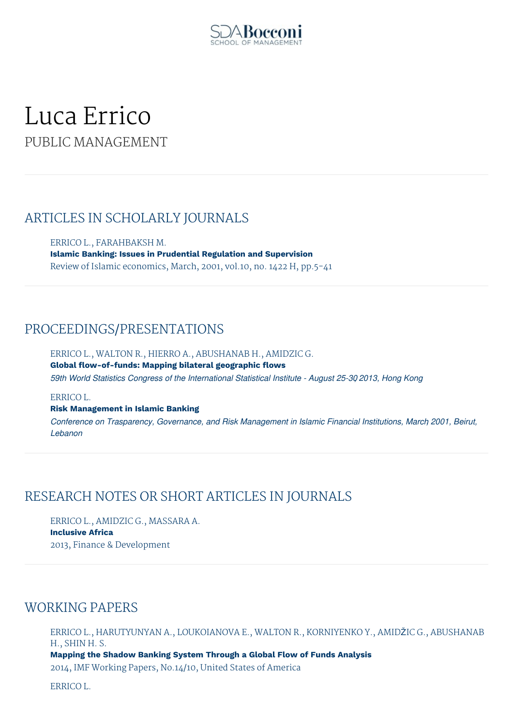

# Luca Errico PUBLIC MANAGEMENT

### ARTICLES IN SCHOLARLY JOURNALS

ERRICO L., FARAHBAKSH M. **Islamic Banking: Issues in Prudential Regulation and Supervision** Review of Islamic economics, March, 2001, vol.10, no. 1422 H, pp.5-41

# PROCEEDINGS/PRESENTATIONS

ERRICO L., WALTON R., HIERRO A., ABUSHANAB H., AMIDZIC G. **Global flow-of-funds: Mapping bilateral geographic flows** *59th World Statistics Congress of the International Statistical Institute - August 25-30, 2013, Hong Kong*

#### ERRICO L.

**Risk Management in Islamic Banking**

*Conference on Trasparency, Governance, and Risk Management in Islamic Financial Institutions, March, 2001, Beirut, Lebanon*

# RESEARCH NOTES OR SHORT ARTICLES IN JOURNALS

ERRICO L., AMIDZIC G., MASSARA A. **Inclusive Africa** 2013, Finance & Development

# WORKING PAPERS

ERRICO L., HARUTYUNYAN A., LOUKOIANOVA E., WALTON R., KORNIYENKO Y., AMIDŽIC G., ABUSHANAB H., SHIN H. S. **Mapping the Shadow Banking System Through a Global Flow of Funds Analysis** 2014, IMF Working Papers, No.14/10, United States of America

ERRICO L.